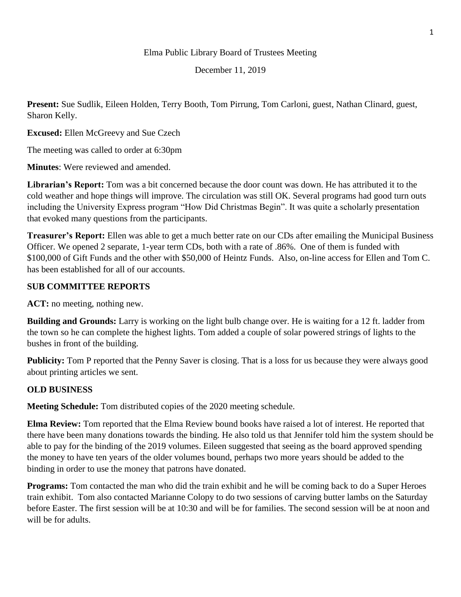#### Elma Public Library Board of Trustees Meeting

December 11, 2019

**Present:** Sue Sudlik, Eileen Holden, Terry Booth, Tom Pirrung, Tom Carloni, guest, Nathan Clinard, guest, Sharon Kelly.

**Excused:** Ellen McGreevy and Sue Czech

The meeting was called to order at 6:30pm

**Minutes**: Were reviewed and amended.

**Librarian's Report:** Tom was a bit concerned because the door count was down. He has attributed it to the cold weather and hope things will improve. The circulation was still OK. Several programs had good turn outs including the University Express program "How Did Christmas Begin". It was quite a scholarly presentation that evoked many questions from the participants.

**Treasurer's Report:** Ellen was able to get a much better rate on our CDs after emailing the Municipal Business Officer. We opened 2 separate, 1-year term CDs, both with a rate of .86%. One of them is funded with \$100,000 of Gift Funds and the other with \$50,000 of Heintz Funds. Also, on-line access for Ellen and Tom C. has been established for all of our accounts.

### **SUB COMMITTEE REPORTS**

**ACT:** no meeting, nothing new.

**Building and Grounds:** Larry is working on the light bulb change over. He is waiting for a 12 ft. ladder from the town so he can complete the highest lights. Tom added a couple of solar powered strings of lights to the bushes in front of the building.

**Publicity:** Tom P reported that the Penny Saver is closing. That is a loss for us because they were always good about printing articles we sent.

# **OLD BUSINESS**

**Meeting Schedule:** Tom distributed copies of the 2020 meeting schedule.

**Elma Review:** Tom reported that the Elma Review bound books have raised a lot of interest. He reported that there have been many donations towards the binding. He also told us that Jennifer told him the system should be able to pay for the binding of the 2019 volumes. Eileen suggested that seeing as the board approved spending the money to have ten years of the older volumes bound, perhaps two more years should be added to the binding in order to use the money that patrons have donated.

**Programs:** Tom contacted the man who did the train exhibit and he will be coming back to do a Super Heroes train exhibit. Tom also contacted Marianne Colopy to do two sessions of carving butter lambs on the Saturday before Easter. The first session will be at 10:30 and will be for families. The second session will be at noon and will be for adults.